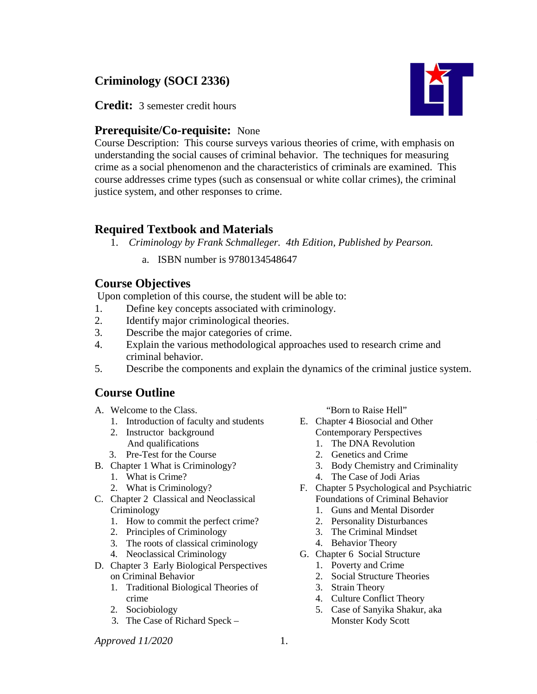# **Criminology (SOCI 2336)**

**Credit:** 3 semester credit hours

## **Prerequisite/Co-requisite:** None

Course Description: This course surveys various theories of crime, with emphasis on understanding the social causes of criminal behavior. The techniques for measuring crime as a social phenomenon and the characteristics of criminals are examined. This course addresses crime types (such as consensual or white collar crimes), the criminal justice system, and other responses to crime.

### **Required Textbook and Materials**

- 1. *Criminology by Frank Schmalleger. 4th Edition, Published by Pearson.* 
	- a. ISBN number is 9780134548647

## **Course Objectives**

Upon completion of this course, the student will be able to:

- 1. Define key concepts associated with criminology.
- 2. Identify major criminological theories.
- 3. Describe the major categories of crime.
- 4. Explain the various methodological approaches used to research crime and criminal behavior.
- 5. Describe the components and explain the dynamics of the criminal justice system.

## **Course Outline**

- A. Welcome to the Class.
	- 1. Introduction of faculty and students
	- 2. Instructor background And qualifications
	- 3. Pre-Test for the Course
- B. Chapter 1 What is Criminology?
	- 1. What is Crime?
	- 2. What is Criminology?
- C. Chapter 2 Classical and Neoclassical Criminology
	- 1. How to commit the perfect crime?
	- 2. Principles of Criminology
	- 3. The roots of classical criminology
	- 4. Neoclassical Criminology
- D. Chapter 3 Early Biological Perspectives on Criminal Behavior
	- 1. Traditional Biological Theories of crime
	- 2. Sociobiology
	- 3. The Case of Richard Speck –

"Born to Raise Hell"

- E. Chapter 4 Biosocial and Other Contemporary Perspectives
	- 1. The DNA Revolution
	- 2. Genetics and Crime
	- 3. Body Chemistry and Criminality
	- 4. The Case of Jodi Arias
- F. Chapter 5 Psychological and Psychiatric Foundations of Criminal Behavior
	- 1. Guns and Mental Disorder
	- 2. Personality Disturbances
	- 3. The Criminal Mindset
	- 4. Behavior Theory
- G. Chapter 6 Social Structure
	- 1. Poverty and Crime
	- 2. Social Structure Theories
	- 3. Strain Theory
	- 4. Culture Conflict Theory
	- 5. Case of Sanyika Shakur, aka Monster Kody Scott

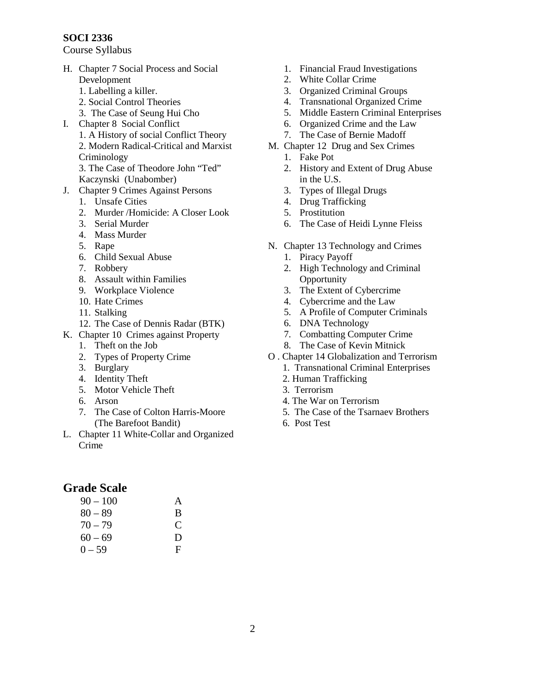#### **SOCI 2336**

Course Syllabus

- H. Chapter 7 Social Process and Social Development
	- 1. Labelling a killer.
	- 2. Social Control Theories
	- 3. The Case of Seung Hui Cho
- I. Chapter 8 Social Conflict
	- 1. A History of social Conflict Theory 2. Modern Radical-Critical and Marxist Criminology 3. The Case of Theodore John "Ted" Kaczynski (Unabomber)
- J. Chapter 9 Crimes Against Persons
	- 1. Unsafe Cities
	- 2. Murder /Homicide: A Closer Look
	- 3. Serial Murder
	- 4. Mass Murder
	- 5. Rape
	- 6. Child Sexual Abuse
	- 7. Robbery
	- 8. Assault within Families
	- 9. Workplace Violence
	- 10. Hate Crimes
	- 11. Stalking
	- 12. The Case of Dennis Radar (BTK)
- K. Chapter 10 Crimes against Property
	- 1. Theft on the Job
	- 2. Types of Property Crime
	- 3. Burglary
	- 4. Identity Theft
	- 5. Motor Vehicle Theft
	- 6. Arson
	- 7. The Case of Colton Harris-Moore (The Barefoot Bandit)
- L. Chapter 11 White-Collar and Organized Crime

## **Grade Scale**

| $90 - 100$ | A |
|------------|---|
| $80 - 89$  | B |
| $70 - 79$  | C |
| $60 - 69$  | D |
| $0 - 59$   | F |

- 1. Financial Fraud Investigations
- 2. White Collar Crime
- 3. Organized Criminal Groups
- 4. Transnational Organized Crime
- 5. Middle Eastern Criminal Enterprises
- 6. Organized Crime and the Law
- 7. The Case of Bernie Madoff
- M. Chapter 12 Drug and Sex Crimes
	- 1. Fake Pot
	- 2. History and Extent of Drug Abuse in the U.S.
	- 3. Types of Illegal Drugs
	- 4. Drug Trafficking
	- 5. Prostitution
	- 6. The Case of Heidi Lynne Fleiss
- N. Chapter 13 Technology and Crimes
	- 1. Piracy Payoff
	- 2. High Technology and Criminal **Opportunity**
	- 3. The Extent of Cybercrime
	- 4. Cybercrime and the Law
	- 5. A Profile of Computer Criminals
	- 6. DNA Technology
	- 7. Combatting Computer Crime
	- 8. The Case of Kevin Mitnick
- O . Chapter 14 Globalization and Terrorism 1. Transnational Criminal Enterprises
	- 2. Human Trafficking
	- 3. Terrorism
	- 4. The War on Terrorism
	-
	- 5. The Case of the Tsarnaev Brothers
	- 6. Post Test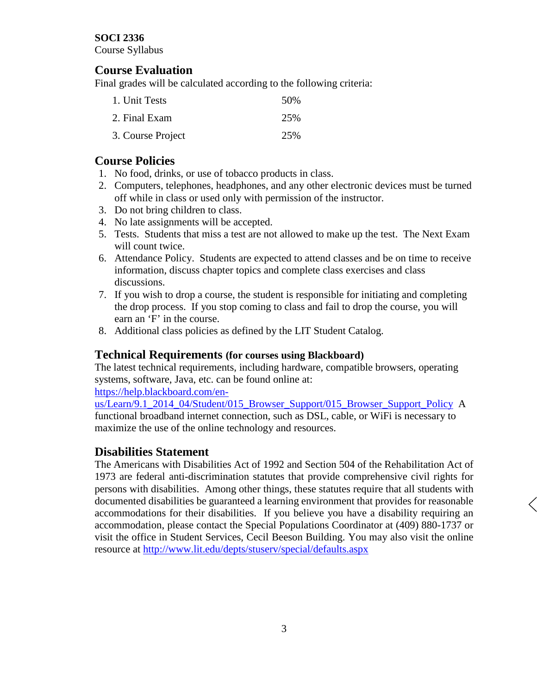#### **SOCI 2336**

Course Syllabus

### **Course Evaluation**

Final grades will be calculated according to the following criteria:

| 1. Unit Tests     | .50% |
|-------------------|------|
| 2. Final Exam     | 25%  |
| 3. Course Project | 25%  |

### **Course Policies**

- 1. No food, drinks, or use of tobacco products in class.
- 2. Computers, telephones, headphones, and any other electronic devices must be turned off while in class or used only with permission of the instructor.
- 3. Do not bring children to class.
- 4. No late assignments will be accepted.
- 5. Tests. Students that miss a test are not allowed to make up the test. The Next Exam will count twice.
- 6. Attendance Policy. Students are expected to attend classes and be on time to receive information, discuss chapter topics and complete class exercises and class discussions.
- 7. If you wish to drop a course, the student is responsible for initiating and completing the drop process. If you stop coming to class and fail to drop the course, you will earn an 'F' in the course.
- 8. Additional class policies as defined by the LIT Student Catalog.

### **Technical Requirements (for courses using Blackboard)**

The latest technical requirements, including hardware, compatible browsers, operating systems, software, Java, etc. can be found online at:

[https://help.blackboard.com/en-](https://help.blackboard.com/en-us/Learn/9.1_2014_04/Student/015_Browser_Support/015_Browser_Support_Policy)

[us/Learn/9.1\\_2014\\_04/Student/015\\_Browser\\_Support/015\\_Browser\\_Support\\_Policy](https://help.blackboard.com/en-us/Learn/9.1_2014_04/Student/015_Browser_Support/015_Browser_Support_Policy) A functional broadband internet connection, such as DSL, cable, or WiFi is necessary to maximize the use of the online technology and resources.

### **Disabilities Statement**

The Americans with Disabilities Act of 1992 and Section 504 of the Rehabilitation Act of 1973 are federal anti-discrimination statutes that provide comprehensive civil rights for persons with disabilities. Among other things, these statutes require that all students with documented disabilities be guaranteed a learning environment that provides for reasonable accommodations for their disabilities. If you believe you have a disability requiring an accommodation, please contact the Special Populations Coordinator at (409) 880-1737 or visit the office in Student Services, Cecil Beeson Building. You may also visit the online resource at<http://www.lit.edu/depts/stuserv/special/defaults.aspx>